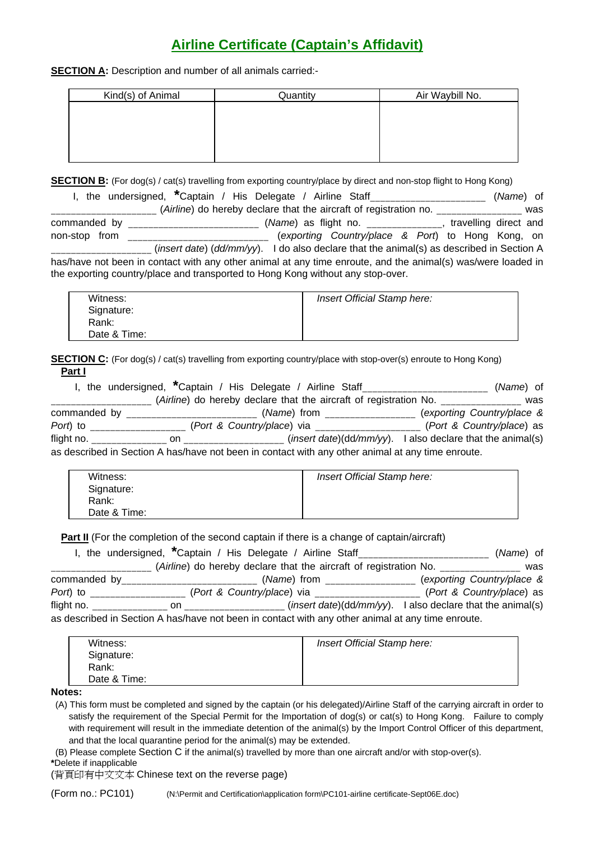## **Airline Certificate (Captain's Affidavit)**

**SECTION A:** Description and number of all animals carried:-

| Kind(s) of Animal | Quantity | Air Waybill No. |
|-------------------|----------|-----------------|
|                   |          |                 |
|                   |          |                 |
|                   |          |                 |
|                   |          |                 |
|                   |          |                 |

**SECTION B:** (For dog(s) / cat(s) travelling from exporting country/place by direct and non-stop flight to Hong Kong)

|               | I, the undersigned, *Captain / His Delegate / Airline Staff                                                                                                                                     | ( <i>Name</i> ) of |
|---------------|-------------------------------------------------------------------------------------------------------------------------------------------------------------------------------------------------|--------------------|
|               | (Airline) do hereby declare that the aircraft of registration no.                                                                                                                               | was                |
| commanded by  | (Name) as flight no. _______________, travelling direct and<br><u> 1980 - Jan Barnett, mars and de la partie de la partie de la partie de la partie de la partie de la partie d</u>             |                    |
| non-stop from | (exporting Country/place & Port) to Hong Kong, on                                                                                                                                               |                    |
|               | (insert date) (dd/mm/yy). I do also declare that the animal(s) as described in Section A                                                                                                        |                    |
|               | has/have not been in contact with any other animal at any time enroute, and the animal(s) was/were loaded in<br>the exporting country/place and transported to Hong Kong without any stop-over. |                    |

| Witness:     | Insert Official Stamp here: |
|--------------|-----------------------------|
| Signature:   |                             |
| Rank:        |                             |
| Date & Time: |                             |

**SECTION C:** (For dog(s) / cat(s) travelling from exporting country/place with stop-over(s) enroute to Hong Kong) **Part I**

|              | I, the undersigned, *Captain / His Delegate / Airline Staff                                       |                                                                   | (Name) of                  |
|--------------|---------------------------------------------------------------------------------------------------|-------------------------------------------------------------------|----------------------------|
|              |                                                                                                   | (Airline) do hereby declare that the aircraft of registration No. | was                        |
| commanded by |                                                                                                   | ( <i>Name</i> ) from                                              | (exporting Country/place & |
| Port) to     | (Port & Country/place) via                                                                        |                                                                   | (Port & Country/place) as  |
| flight no.   | on                                                                                                | (insert date)( $dd/mm/yy$ ). I also declare that the animal(s)    |                            |
|              | as described in Section A has/have not been in contact with any other animal at any time enroute. |                                                                   |                            |

| Witness:     | Insert Official Stamp here: |
|--------------|-----------------------------|
| Signature:   |                             |
| Rank:        |                             |
| Date & Time: |                             |

**Part II** (For the completion of the second captain if there is a change of captain/aircraft)

|              | I, the undersigned, *Captain / His Delegate / Airline Staff                                       |                                                                   |                                                                | (Name) of |
|--------------|---------------------------------------------------------------------------------------------------|-------------------------------------------------------------------|----------------------------------------------------------------|-----------|
|              |                                                                                                   | (Airline) do hereby declare that the aircraft of registration No. |                                                                | was       |
| commanded by |                                                                                                   | (Name) from                                                       | (exporting Country/place &                                     |           |
| Port) to     |                                                                                                   | (Port & Country/place) via                                        | (Port & Country/place) as                                      |           |
| flight no.   | on on                                                                                             |                                                                   | (insert date)( $dd/mm/yy$ ). I also declare that the animal(s) |           |
|              | as described in Section A has/have not been in contact with any other animal at any time enroute. |                                                                   |                                                                |           |

| Witness:     | Insert Official Stamp here: |
|--------------|-----------------------------|
| Signature:   |                             |
| Rank:        |                             |
| Date & Time: |                             |
|              |                             |

**Notes:**

(A) This form must be completed and signed by the captain (or his delegated)/Airline Staff of the carrying aircraft in order to satisfy the requirement of the Special Permit for the Importation of dog(s) or cat(s) to Hong Kong. Failure to comply with requirement will result in the immediate detention of the animal(s) by the Import Control Officer of this department, and that the local quarantine period for the animal(s) may be extended.

(B) Please complete Section C if the animal(s) travelled by more than one aircraft and/or with stop-over(s).

**\***Delete if inapplicable

(背頁印有中文文本 Chinese text on the reverse page)